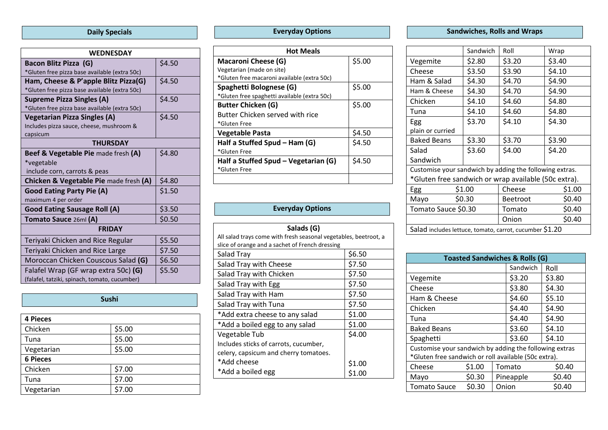### **Daily Specials**

| <b>WEDNESDAY</b>                                  |        |  |  |  |
|---------------------------------------------------|--------|--|--|--|
| Bacon Blitz Pizza (G)                             | \$4.50 |  |  |  |
| *Gluten free pizza base available (extra 50c)     |        |  |  |  |
| Ham, Cheese & P'apple Blitz Pizza(G)              | \$4.50 |  |  |  |
| *Gluten free pizza base available (extra 50c)     |        |  |  |  |
| <b>Supreme Pizza Singles (A)</b>                  | \$4.50 |  |  |  |
| *Gluten free pizza base available (extra 50c)     |        |  |  |  |
| <b>Vegetarian Pizza Singles (A)</b>               | \$4.50 |  |  |  |
| Includes pizza sauce, cheese, mushroom &          |        |  |  |  |
| capsicum                                          |        |  |  |  |
| <b>THURSDAY</b>                                   |        |  |  |  |
| Beef & Vegetable Pie made fresh (A)               | \$4.80 |  |  |  |
| *vegetable                                        |        |  |  |  |
| include corn, carrots & peas                      |        |  |  |  |
| <b>Chicken &amp; Vegetable Pie made fresh (A)</b> | \$4.80 |  |  |  |
| <b>Good Eating Party Pie (A)</b>                  | \$1.50 |  |  |  |
| maximum 4 per order                               |        |  |  |  |
| <b>Good Eating Sausage Roll (A)</b>               | \$3.50 |  |  |  |
| Tomato Sauce 26ml (A)                             | \$0.50 |  |  |  |
| <b>FRIDAY</b>                                     |        |  |  |  |
| Teriyaki Chicken and Rice Regular                 | \$5.50 |  |  |  |
| Teriyaki Chicken and Rice Large                   | \$7.50 |  |  |  |
| Moroccan Chicken Couscous Salad (G)               | \$6.50 |  |  |  |
| Falafel Wrap (GF wrap extra 50c) (G)              | \$5.50 |  |  |  |
| (falafel, tatziki, spinach, tomato, cucumber)     |        |  |  |  |

| Sushi           |        |  |
|-----------------|--------|--|
|                 |        |  |
| <b>4 Pieces</b> |        |  |
| Chicken         | \$5.00 |  |
| Tuna            | \$5.00 |  |
| Vegetarian      | \$5.00 |  |
| <b>6 Pieces</b> |        |  |
| Chicken         | \$7.00 |  |
| Tuna            | \$7.00 |  |
| Vegetarian      | \$7.00 |  |

## **Everyday Options**

| <b>Hot Meals</b>                             |        |  |
|----------------------------------------------|--------|--|
| <b>Macaroni Cheese (G)</b>                   | \$5.00 |  |
| Vegetarian (made on site)                    |        |  |
| *Gluten free macaroni available (extra 50c)  |        |  |
| Spaghetti Bolognese (G)                      | \$5.00 |  |
| *Gluten free spaghetti available (extra 50c) |        |  |
| <b>Butter Chicken (G)</b>                    | \$5.00 |  |
| Butter Chicken served with rice              |        |  |
| *Gluten Free                                 |        |  |
| <b>Vegetable Pasta</b>                       | \$4.50 |  |
| Half a Stuffed Spud - Ham (G)                | \$4.50 |  |
| *Gluten Free                                 |        |  |
| Half a Stuffed Spud – Vegetarian (G)         | \$4.50 |  |
| *Gluten Free                                 |        |  |
|                                              |        |  |

### **Everyday Options**

| Salads (G)                                                       |        |  |
|------------------------------------------------------------------|--------|--|
| All salad trays come with fresh seasonal vegetables, beetroot, a |        |  |
| slice of orange and a sachet of French dressing                  |        |  |
| Salad Tray                                                       | \$6.50 |  |
| Salad Tray with Cheese                                           | \$7.50 |  |
| Salad Tray with Chicken                                          | \$7.50 |  |
| Salad Tray with Egg                                              | \$7.50 |  |
| Salad Tray with Ham                                              | \$7.50 |  |
| Salad Tray with Tuna                                             | \$7.50 |  |
| *Add extra cheese to any salad                                   | \$1.00 |  |
| *Add a boiled egg to any salad                                   | \$1.00 |  |
| Vegetable Tub                                                    | \$4.00 |  |
| Includes sticks of carrots, cucumber,                            |        |  |
| celery, capsicum and cherry tomatoes.                            |        |  |
| *Add cheese                                                      | \$1.00 |  |
| *Add a boiled egg                                                |        |  |

## **Sandwiches, Rolls and Wraps**

|                                                         | Sandwich | Roll            | Wrap   |
|---------------------------------------------------------|----------|-----------------|--------|
| Vegemite                                                | \$2.80   | \$3.20          | \$3.40 |
| Cheese                                                  | \$3.50   | \$3.90          | \$4.10 |
| Ham & Salad                                             | \$4.30   | \$4.70          | \$4.90 |
| Ham & Cheese                                            | \$4.30   | \$4.70          | \$4.90 |
| Chicken                                                 | \$4.10   | \$4.60          | \$4.80 |
| Tuna                                                    | \$4.10   | \$4.60          | \$4.80 |
| Egg                                                     | \$3.70   | \$4.10          | \$4.30 |
| plain or curried                                        |          |                 |        |
| <b>Baked Beans</b>                                      | \$3.30   | \$3.70          | \$3.90 |
| Salad                                                   | \$3.60   | \$4.00          | \$4.20 |
| Sandwich                                                |          |                 |        |
| Customise your sandwich by adding the following extras. |          |                 |        |
| *Gluten free sandwich or wrap available (50c extra).    |          |                 |        |
| Egg                                                     | \$1.00   | Cheese          | \$1.00 |
| \$0.30<br>Mayo                                          |          | <b>Beetroot</b> | \$0.40 |
| Tomato Sauce \$0.30                                     |          | Tomato          | \$0.40 |
|                                                         |          | Onion           | \$0.40 |
| Salad includes lettuce, tomato, carrot, cucumber \$1.20 |          |                 |        |

| <b>Toasted Sandwiches &amp; Rolls (G)</b>              |        |        |           |        |
|--------------------------------------------------------|--------|--------|-----------|--------|
|                                                        |        |        | Sandwich  | Roll   |
| Vegemite                                               |        |        | \$3.20    | \$3.80 |
| Cheese                                                 |        |        | \$3.80    | \$4.30 |
| Ham & Cheese                                           |        |        | \$4.60    | \$5.10 |
| Chicken                                                |        |        | \$4.40    | \$4.90 |
| Tuna                                                   |        | \$4.40 | \$4.90    |        |
| <b>Baked Beans</b>                                     |        | \$3.60 | \$4.10    |        |
| Spaghetti                                              |        | \$3.60 | \$4.10    |        |
| Customise your sandwich by adding the following extras |        |        |           |        |
| *Gluten free sandwich or roll available (50c extra).   |        |        |           |        |
| Cheese                                                 | \$1.00 |        | Tomato    | \$0.40 |
| Mayo                                                   | \$0.30 |        | Pineapple | \$0.40 |
| <b>Tomato Sauce</b>                                    | \$0.30 | Onion  |           | \$0.40 |